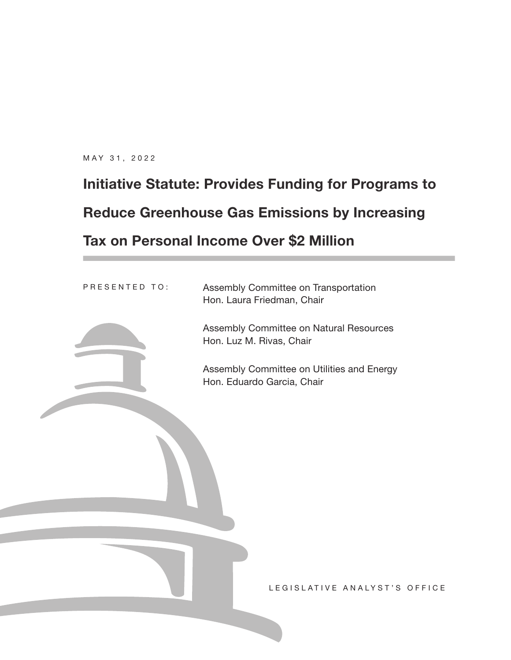MAY 31, 2022

# **Initiative Statute: Provides Funding for Programs to Reduce Greenhouse Gas Emissions by Increasing Tax on Personal Income Over \$2 Million**

Assembly Committee on Transportation Hon. Laura Friedman, Chair PRESENTED TO:



Assembly Committee on Natural Resources Hon. Luz M. Rivas, Chair

Assembly Committee on Utilities and Energy Hon. Eduardo Garcia, Chair

LEGISLATIVE ANALYST'S OFFICE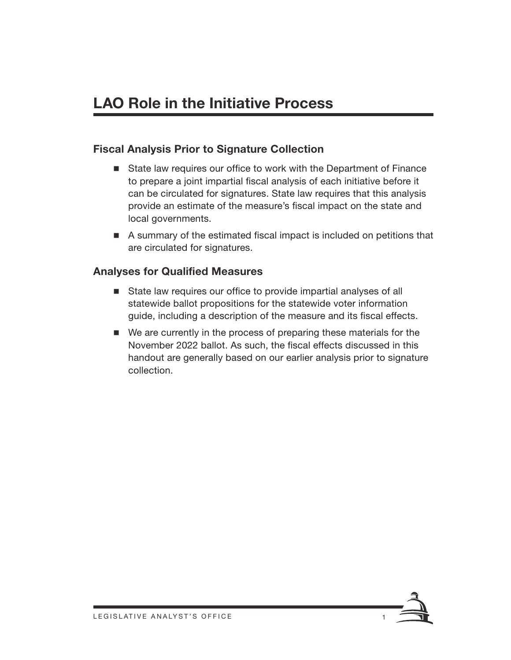# **LAO Role in the Initiative Process**

#### Fiscal Analysis Prior to Signature Collection

- State law requires our office to work with the Department of Finance to prepare a joint impartial fiscal analysis of each initiative before it can be circulated for signatures. State law requires that this analysis provide an estimate of the measure's fiscal impact on the state and local governments.
- A summary of the estimated fiscal impact is included on petitions that are circulated for signatures.

#### Analyses for Qualified Measures

- State law requires our office to provide impartial analyses of all statewide ballot propositions for the statewide voter information guide, including a description of the measure and its fiscal effects.
- We are currently in the process of preparing these materials for the November 2022 ballot. As such, the fiscal effects discussed in this handout are generally based on our earlier analysis prior to signature collection.

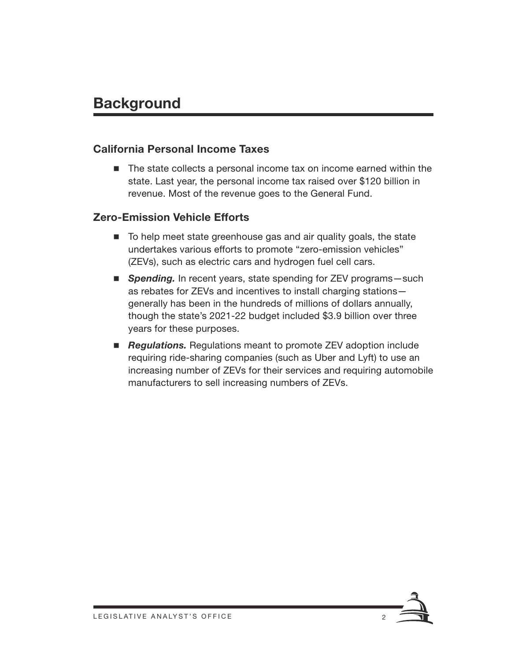# **Background**

#### California Personal Income Taxes

■ The state collects a personal income tax on income earned within the state. Last year, the personal income tax raised over \$120 billion in revenue. Most of the revenue goes to the General Fund.

#### Zero-Emission Vehicle Efforts

- To help meet state greenhouse gas and air quality goals, the state undertakes various efforts to promote "zero-emission vehicles" (ZEVs), such as electric cars and hydrogen fuel cell cars.
- **Spending.** In recent years, state spending for ZEV programs such as rebates for ZEVs and incentives to install charging stations generally has been in the hundreds of millions of dollars annually, though the state's 2021-22 budget included \$3.9 billion over three years for these purposes.
- *Regulations.* Regulations meant to promote ZEV adoption include requiring ride-sharing companies (such as Uber and Lyft) to use an increasing number of ZEVs for their services and requiring automobile manufacturers to sell increasing numbers of ZEVs.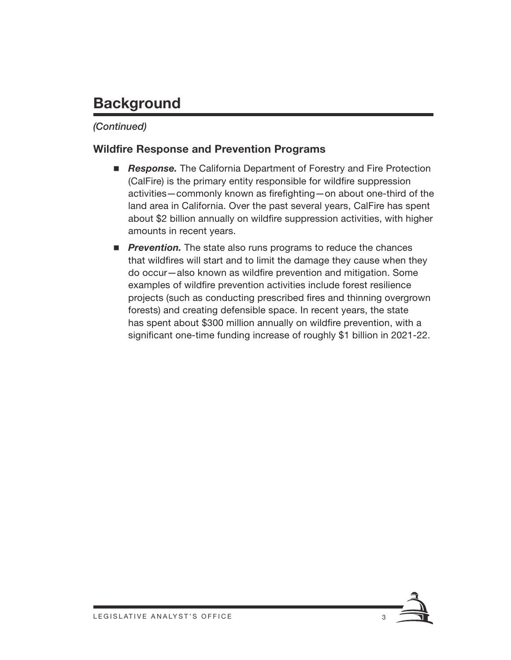# **Background**

#### *(Continued)*

#### Wildfire Response and Prevention Programs

- *Response.* The California Department of Forestry and Fire Protection (CalFire) is the primary entity responsible for wildfire suppression activities—commonly known as firefighting—on about one-third of the land area in California. Over the past several years, CalFire has spent about \$2 billion annually on wildfire suppression activities, with higher amounts in recent years.
- **Prevention.** The state also runs programs to reduce the chances that wildfires will start and to limit the damage they cause when they do occur—also known as wildfire prevention and mitigation. Some examples of wildfire prevention activities include forest resilience projects (such as conducting prescribed fires and thinning overgrown forests) and creating defensible space. In recent years, the state has spent about \$300 million annually on wildfire prevention, with a significant one-time funding increase of roughly \$1 billion in 2021-22.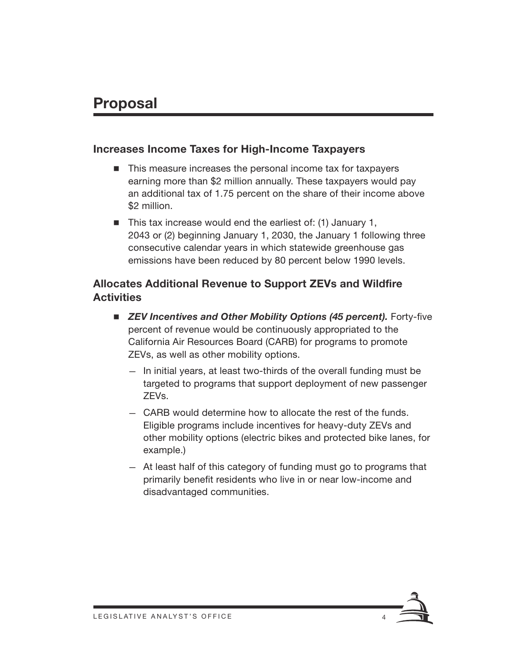### **Proposal**

#### Increases Income Taxes for High-Income Taxpayers

- $\blacksquare$  This measure increases the personal income tax for taxpayers earning more than \$2 million annually. These taxpayers would pay an additional tax of 1.75 percent on the share of their income above \$2 million.
- $\blacksquare$  This tax increase would end the earliest of: (1) January 1, 2043 or (2) beginning January 1, 2030, the January 1 following three consecutive calendar years in which statewide greenhouse gas emissions have been reduced by 80 percent below 1990 levels.

#### Allocates Additional Revenue to Support ZEVs and Wildfire **Activities**

- *ZEV Incentives and Other Mobility Options (45 percent).* Forty-five percent of revenue would be continuously appropriated to the California Air Resources Board (CARB) for programs to promote ZEVs, as well as other mobility options.
	- In initial years, at least two-thirds of the overall funding must be targeted to programs that support deployment of new passenger ZEVs.
	- CARB would determine how to allocate the rest of the funds. Eligible programs include incentives for heavy-duty ZEVs and other mobility options (electric bikes and protected bike lanes, for example.)
	- At least half of this category of funding must go to programs that primarily benefit residents who live in or near low-income and disadvantaged communities.

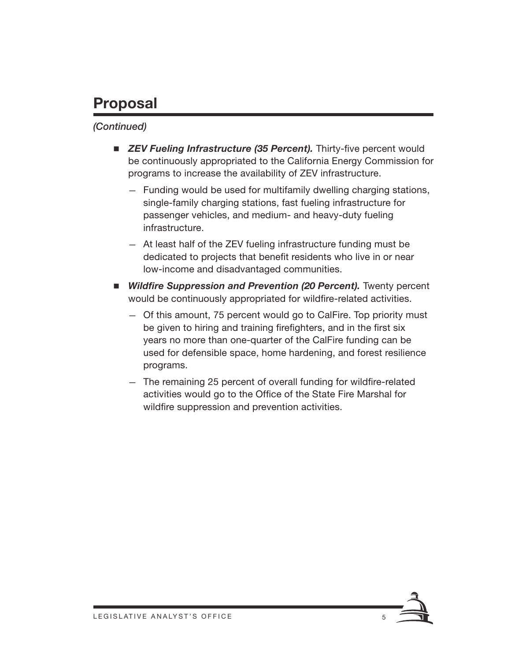# **Proposal**

#### *(Continued)*

- *ZEV Fueling Infrastructure (35 Percent).* Thirty-five percent would be continuously appropriated to the California Energy Commission for programs to increase the availability of ZEV infrastructure.
	- Funding would be used for multifamily dwelling charging stations, single-family charging stations, fast fueling infrastructure for passenger vehicles, and medium- and heavy-duty fueling infrastructure.
	- At least half of the ZEV fueling infrastructure funding must be dedicated to projects that benefit residents who live in or near low-income and disadvantaged communities.
- **E** *Wildfire Suppression and Prevention (20 Percent).* Twenty percent would be continuously appropriated for wildfire-related activities.
	- Of this amount, 75 percent would go to CalFire. Top priority must be given to hiring and training firefighters, and in the first six years no more than one-quarter of the CalFire funding can be used for defensible space, home hardening, and forest resilience programs.
	- The remaining 25 percent of overall funding for wildfire-related activities would go to the Office of the State Fire Marshal for wildfire suppression and prevention activities.